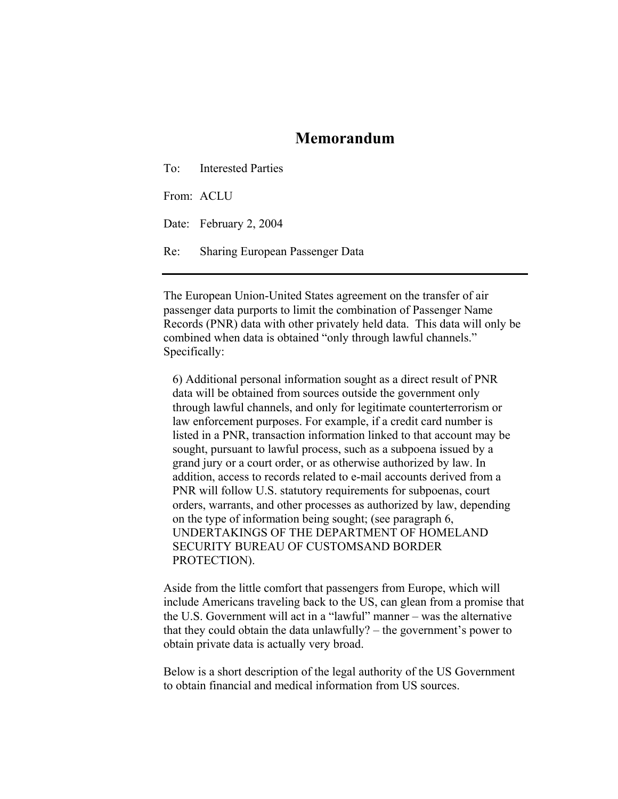## **Memorandum**

To: Interested Parties

From: ACLU

Date: February 2, 2004

Re: Sharing European Passenger Data

The European Union-United States agreement on the transfer of air passenger data purports to limit the combination of Passenger Name Records (PNR) data with other privately held data. This data will only be combined when data is obtained "only through lawful channels." Specifically:

6) Additional personal information sought as a direct result of PNR data will be obtained from sources outside the government only through lawful channels, and only for legitimate counterterrorism or law enforcement purposes. For example, if a credit card number is listed in a PNR, transaction information linked to that account may be sought, pursuant to lawful process, such as a subpoena issued by a grand jury or a court order, or as otherwise authorized by law. In addition, access to records related to e-mail accounts derived from a PNR will follow U.S. statutory requirements for subpoenas, court orders, warrants, and other processes as authorized by law, depending on the type of information being sought; (see paragraph 6, UNDERTAKINGS OF THE DEPARTMENT OF HOMELAND SECURITY BUREAU OF CUSTOMSAND BORDER PROTECTION).

Aside from the little comfort that passengers from Europe, which will include Americans traveling back to the US, can glean from a promise that the U.S. Government will act in a "lawful" manner – was the alternative that they could obtain the data unlawfully? – the government's power to obtain private data is actually very broad.

Below is a short description of the legal authority of the US Government to obtain financial and medical information from US sources.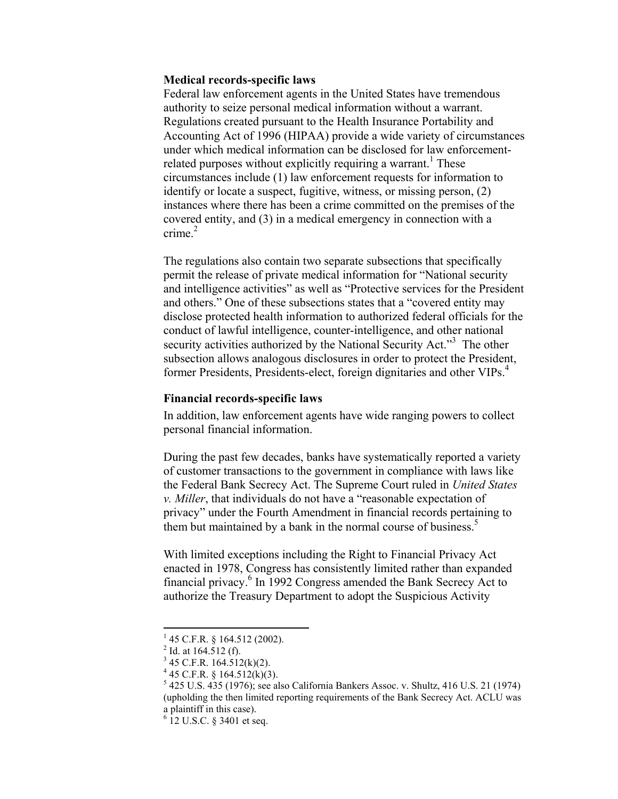## **Medical records-specific laws**

Federal law enforcement agents in the United States have tremendous authority to seize personal medical information without a warrant. Regulations created pursuant to the Health Insurance Portability and Accounting Act of 1996 (HIPAA) provide a wide variety of circumstances under which medical information can be disclosed for law enforcementrelated purposes without explicitly requiring a warrant.<sup>1</sup> These circumstances include (1) law enforcement requests for information to identify or locate a suspect, fugitive, witness, or missing person, (2) instances where there has been a crime committed on the premises of the covered entity, and (3) in a medical emergency in connection with a crime $^2$ 

The regulations also contain two separate subsections that specifically permit the release of private medical information for "National security and intelligence activities" as well as "Protective services for the President and others." One of these subsections states that a "covered entity may disclose protected health information to authorized federal officials for the conduct of lawful intelligence, counter-intelligence, and other national security activities authorized by the National Security Act."<sup>3</sup> The other subsection allows analogous disclosures in order to protect the President, former Presidents, Presidents-elect, foreign dignitaries and other VIPs.<sup>4</sup>

## **Financial records-specific laws**

In addition, law enforcement agents have wide ranging powers to collect personal financial information.

During the past few decades, banks have systematically reported a variety of customer transactions to the government in compliance with laws like the Federal Bank Secrecy Act. The Supreme Court ruled in *United States v. Miller*, that individuals do not have a "reasonable expectation of privacy" under the Fourth Amendment in financial records pertaining to them but maintained by a bank in the normal course of business.<sup>5</sup>

With limited exceptions including the Right to Financial Privacy Act enacted in 1978, Congress has consistently limited rather than expanded financial privacy.<sup>6</sup> In 1992 Congress amended the Bank Secrecy Act to authorize the Treasury Department to adopt the Suspicious Activity

 $\overline{a}$ 

<sup>1</sup> 45 C.F.R. § 164.512 (2002).

 $^{2}$  Id. at 164.512 (f).

 $3$  45 C.F.R. 164.512(k)(2).

 $4$  45 C.F.R. § 164.512(k)(3).

 $5425$  U.S.  $435$  (1976); see also California Bankers Assoc. v. Shultz, 416 U.S. 21 (1974) (upholding the then limited reporting requirements of the Bank Secrecy Act. ACLU was a plaintiff in this case).

 $6$  12 U.S.C. § 3401 et seq.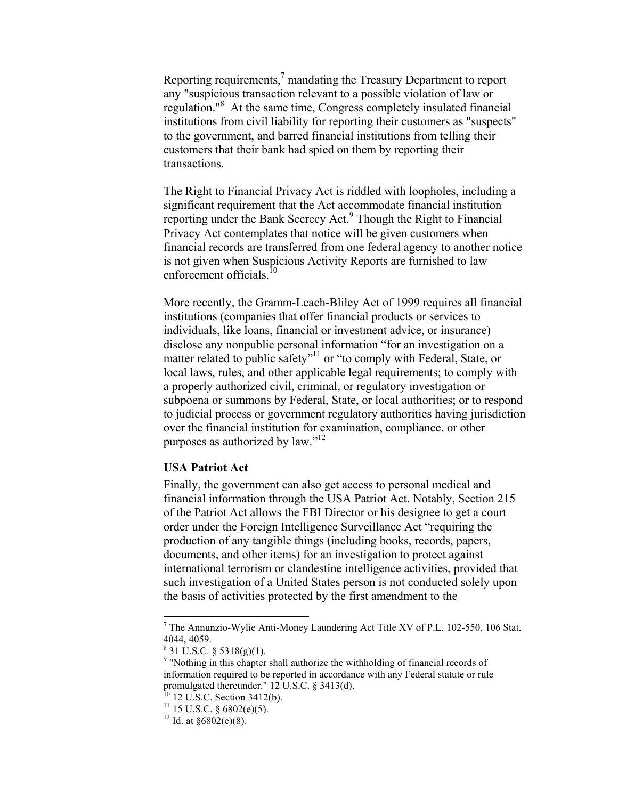Reporting requirements, $\alpha$ <sup>7</sup> mandating the Treasury Department to report any "suspicious transaction relevant to a possible violation of law or regulation."<sup>8</sup> At the same time, Congress completely insulated financial institutions from civil liability for reporting their customers as "suspects" to the government, and barred financial institutions from telling their customers that their bank had spied on them by reporting their transactions.

The Right to Financial Privacy Act is riddled with loopholes, including a significant requirement that the Act accommodate financial institution reporting under the Bank Secrecy Act.<sup>9</sup> Though the Right to Financial Privacy Act contemplates that notice will be given customers when financial records are transferred from one federal agency to another notice is not given when Suspicious Activity Reports are furnished to law enforcement officials<sup>10</sup>

More recently, the Gramm-Leach-Bliley Act of 1999 requires all financial institutions (companies that offer financial products or services to individuals, like loans, financial or investment advice, or insurance) disclose any nonpublic personal information "for an investigation on a matter related to public safety"<sup>11</sup> or "to comply with Federal, State, or local laws, rules, and other applicable legal requirements; to comply with a properly authorized civil, criminal, or regulatory investigation or subpoena or summons by Federal, State, or local authorities; or to respond to judicial process or government regulatory authorities having jurisdiction over the financial institution for examination, compliance, or other purposes as authorized by law."12

## **USA Patriot Act**

Finally, the government can also get access to personal medical and financial information through the USA Patriot Act. Notably, Section 215 of the Patriot Act allows the FBI Director or his designee to get a court order under the Foreign Intelligence Surveillance Act "requiring the production of any tangible things (including books, records, papers, documents, and other items) for an investigation to protect against international terrorism or clandestine intelligence activities, provided that such investigation of a United States person is not conducted solely upon the basis of activities protected by the first amendment to the

 $\overline{a}$ 

 $^7$  The Annunzio-Wylie Anti-Money Laundering Act Title XV of P.L. 102-550, 106 Stat. 4044, 4059.

 $8$  31 U.S.C. § 5318(g)(1).

<sup>&</sup>lt;sup>9</sup> "Nothing in this chapter shall authorize the withholding of financial records of information required to be reported in accordance with any Federal statute or rule promulgated thereunder." 12 U.S.C. § 3413(d).

 $10$  12 U.S.C. Section 3412(b).

 $11$  15 U.S.C. § 6802(e)(5).

<sup>&</sup>lt;sup>12</sup> Id. at  $§6802(e)(8)$ .